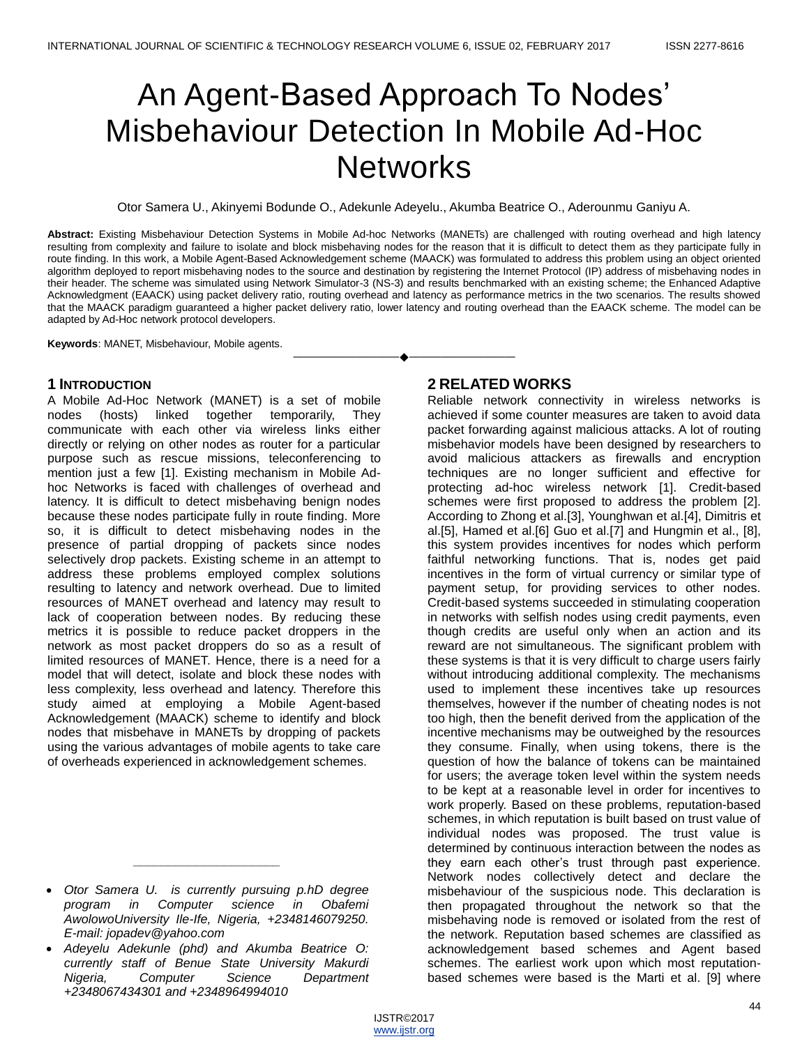# An Agent-Based Approach To Nodes' Misbehaviour Detection In Mobile Ad-Hoc **Networks**

Otor Samera U., Akinyemi Bodunde O., Adekunle Adeyelu., Akumba Beatrice O., Aderounmu Ganiyu A.

**Abstract:** Existing Misbehaviour Detection Systems in Mobile Ad-hoc Networks (MANETs) are challenged with routing overhead and high latency resulting from complexity and failure to isolate and block misbehaving nodes for the reason that it is difficult to detect them as they participate fully in route finding. In this work, a Mobile Agent-Based Acknowledgement scheme (MAACK) was formulated to address this problem using an object oriented algorithm deployed to report misbehaving nodes to the source and destination by registering the Internet Protocol (IP) address of misbehaving nodes in their header. The scheme was simulated using Network Simulator-3 (NS-3) and results benchmarked with an existing scheme; the Enhanced Adaptive Acknowledgment (EAACK) using packet delivery ratio, routing overhead and latency as performance metrics in the two scenarios. The results showed that the MAACK paradigm guaranteed a higher packet delivery ratio, lower latency and routing overhead than the EAACK scheme. The model can be adapted by Ad-Hoc network protocol developers.

————————————————————

**Keywords**: MANET, Misbehaviour, Mobile agents.

## **1 INTRODUCTION**

A Mobile Ad-Hoc Network (MANET) is a set of mobile nodes (hosts) linked together temporarily, They communicate with each other via wireless links either directly or relying on other nodes as router for a particular purpose such as rescue missions, teleconferencing to mention just a few [1]. Existing mechanism in Mobile Adhoc Networks is faced with challenges of overhead and latency. It is difficult to detect misbehaving benign nodes because these nodes participate fully in route finding. More so, it is difficult to detect misbehaving nodes in the presence of partial dropping of packets since nodes selectively drop packets. Existing scheme in an attempt to address these problems employed complex solutions resulting to latency and network overhead. Due to limited resources of MANET overhead and latency may result to lack of cooperation between nodes. By reducing these metrics it is possible to reduce packet droppers in the network as most packet droppers do so as a result of limited resources of MANET. Hence, there is a need for a model that will detect, isolate and block these nodes with less complexity, less overhead and latency. Therefore this study aimed at employing a Mobile Agent-based Acknowledgement (MAACK) scheme to identify and block nodes that misbehave in MANETs by dropping of packets using the various advantages of mobile agents to take care of overheads experienced in acknowledgement schemes.

*\_\_\_\_\_\_\_\_\_\_\_\_\_\_\_\_\_\_\_\_\_*

# **2 RELATED WORKS**

Reliable network connectivity in wireless networks is achieved if some counter measures are taken to avoid data packet forwarding against malicious attacks. A lot of routing misbehavior models have been designed by researchers to avoid malicious attackers as firewalls and encryption techniques are no longer sufficient and effective for protecting ad-hoc wireless network [1]. Credit-based schemes were first proposed to address the problem [2]. According to Zhong et al.[3], Younghwan et al.[4], Dimitris et al.[5], Hamed et al.[6] Guo et al.[7] and Hungmin et al., [8], this system provides incentives for nodes which perform faithful networking functions. That is, nodes get paid incentives in the form of virtual currency or similar type of payment setup, for providing services to other nodes. Credit-based systems succeeded in stimulating cooperation in networks with selfish nodes using credit payments, even though credits are useful only when an action and its reward are not simultaneous. The significant problem with these systems is that it is very difficult to charge users fairly without introducing additional complexity. The mechanisms used to implement these incentives take up resources themselves, however if the number of cheating nodes is not too high, then the benefit derived from the application of the incentive mechanisms may be outweighed by the resources they consume. Finally, when using tokens, there is the question of how the balance of tokens can be maintained for users; the average token level within the system needs to be kept at a reasonable level in order for incentives to work properly. Based on these problems, reputation-based schemes, in which reputation is built based on trust value of individual nodes was proposed. The trust value is determined by continuous interaction between the nodes as they earn each other's trust through past experience. Network nodes collectively detect and declare the misbehaviour of the suspicious node. This declaration is then propagated throughout the network so that the misbehaving node is removed or isolated from the rest of the network. Reputation based schemes are classified as acknowledgement based schemes and Agent based schemes. The earliest work upon which most reputationbased schemes were based is the Marti et al. [9] where

*Otor Samera U. is currently pursuing p.hD degree program in Computer science in Obafemi AwolowoUniversity Ile-Ife, Nigeria, +2348146079250. E-mail: jopadev@yahoo.com*

*Adeyelu Adekunle (phd) and Akumba Beatrice O: currently staff of Benue State University Makurdi Nigeria, Computer Science Department +2348067434301 and +2348964994010*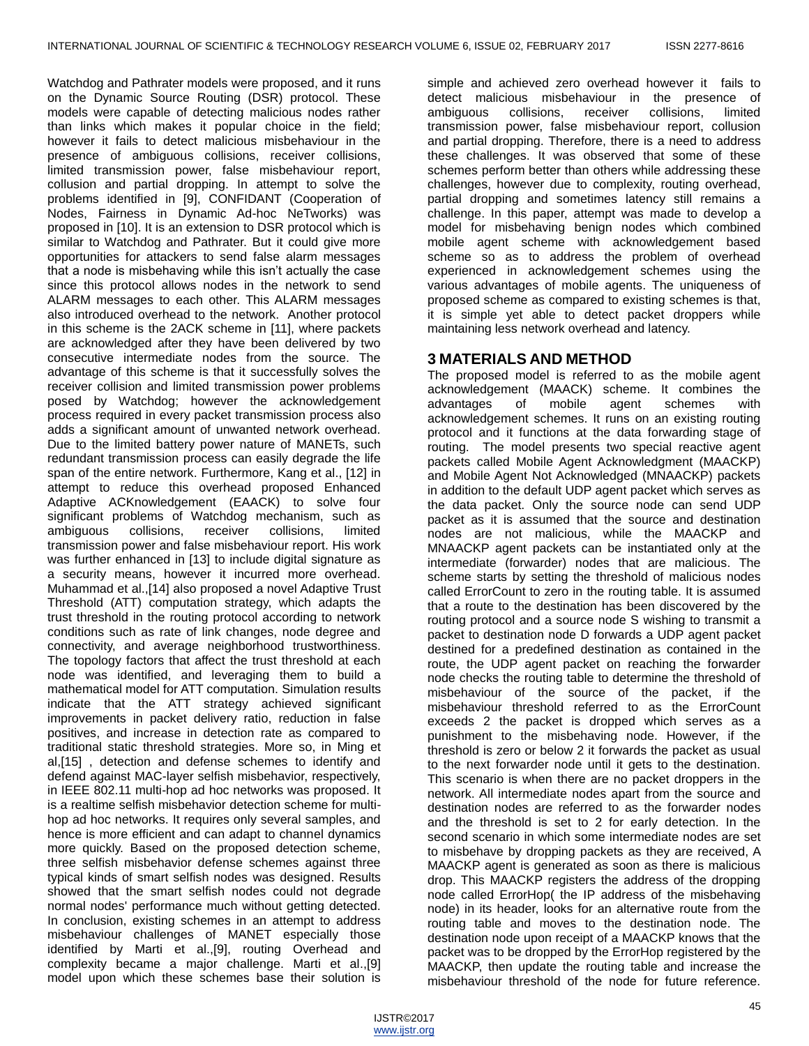Watchdog and Pathrater models were proposed, and it runs on the Dynamic Source Routing (DSR) protocol. These models were capable of detecting malicious nodes rather than links which makes it popular choice in the field; however it fails to detect malicious misbehaviour in the presence of ambiguous collisions, receiver collisions, limited transmission power, false misbehaviour report, collusion and partial dropping. In attempt to solve the problems identified in [9], CONFIDANT (Cooperation of Nodes, Fairness in Dynamic Ad-hoc NeTworks) was proposed in [10]. It is an extension to DSR protocol which is similar to Watchdog and Pathrater. But it could give more opportunities for attackers to send false alarm messages that a node is misbehaving while this isn't actually the case since this protocol allows nodes in the network to send ALARM messages to each other. This ALARM messages also introduced overhead to the network. Another protocol in this scheme is the 2ACK scheme in [11], where packets are acknowledged after they have been delivered by two consecutive intermediate nodes from the source. The advantage of this scheme is that it successfully solves the receiver collision and limited transmission power problems posed by Watchdog; however the acknowledgement process required in every packet transmission process also adds a significant amount of unwanted network overhead. Due to the limited battery power nature of MANETs, such redundant transmission process can easily degrade the life span of the entire network. Furthermore, Kang et al., [12] in attempt to reduce this overhead proposed Enhanced Adaptive ACKnowledgement (EAACK) to solve four significant problems of Watchdog mechanism, such as ambiguous collisions, receiver collisions, limited transmission power and false misbehaviour report. His work was further enhanced in [13] to include digital signature as a security means, however it incurred more overhead. Muhammad et al.,[14] also proposed a novel Adaptive Trust Threshold (ATT) computation strategy, which adapts the trust threshold in the routing protocol according to network conditions such as rate of link changes, node degree and connectivity, and average neighborhood trustworthiness. The topology factors that affect the trust threshold at each node was identified, and leveraging them to build a mathematical model for ATT computation. Simulation results indicate that the ATT strategy achieved significant improvements in packet delivery ratio, reduction in false positives, and increase in detection rate as compared to traditional static threshold strategies. More so, in Ming et al,[15] , detection and defense schemes to identify and defend against MAC-layer selfish misbehavior, respectively, in IEEE 802.11 multi-hop ad hoc networks was proposed. It is a realtime selfish misbehavior detection scheme for multihop ad hoc networks. It requires only several samples, and hence is more efficient and can adapt to channel dynamics more quickly. Based on the proposed detection scheme, three selfish misbehavior defense schemes against three typical kinds of smart selfish nodes was designed. Results showed that the smart selfish nodes could not degrade normal nodes' performance much without getting detected. In conclusion, existing schemes in an attempt to address misbehaviour challenges of MANET especially those identified by Marti et al.,[9], routing Overhead and complexity became a major challenge. Marti et al.,[9] model upon which these schemes base their solution is

simple and achieved zero overhead however it fails to detect malicious misbehaviour in the presence of ambiguous collisions, receiver collisions, limited transmission power, false misbehaviour report, collusion and partial dropping. Therefore, there is a need to address these challenges. It was observed that some of these schemes perform better than others while addressing these challenges, however due to complexity, routing overhead, partial dropping and sometimes latency still remains a challenge. In this paper, attempt was made to develop a model for misbehaving benign nodes which combined mobile agent scheme with acknowledgement based scheme so as to address the problem of overhead experienced in acknowledgement schemes using the various advantages of mobile agents. The uniqueness of proposed scheme as compared to existing schemes is that, it is simple yet able to detect packet droppers while maintaining less network overhead and latency.

# **3 MATERIALS AND METHOD**

The proposed model is referred to as the mobile agent acknowledgement (MAACK) scheme. It combines the advantages of mobile agent schemes with acknowledgement schemes. It runs on an existing routing protocol and it functions at the data forwarding stage of routing. The model presents two special reactive agent packets called Mobile Agent Acknowledgment (MAACKP) and Mobile Agent Not Acknowledged (MNAACKP) packets in addition to the default UDP agent packet which serves as the data packet. Only the source node can send UDP packet as it is assumed that the source and destination nodes are not malicious, while the MAACKP and MNAACKP agent packets can be instantiated only at the intermediate (forwarder) nodes that are malicious. The scheme starts by setting the threshold of malicious nodes called ErrorCount to zero in the routing table. It is assumed that a route to the destination has been discovered by the routing protocol and a source node S wishing to transmit a packet to destination node D forwards a UDP agent packet destined for a predefined destination as contained in the route, the UDP agent packet on reaching the forwarder node checks the routing table to determine the threshold of misbehaviour of the source of the packet, if the misbehaviour threshold referred to as the ErrorCount exceeds 2 the packet is dropped which serves as a punishment to the misbehaving node. However, if the threshold is zero or below 2 it forwards the packet as usual to the next forwarder node until it gets to the destination. This scenario is when there are no packet droppers in the network. All intermediate nodes apart from the source and destination nodes are referred to as the forwarder nodes and the threshold is set to 2 for early detection. In the second scenario in which some intermediate nodes are set to misbehave by dropping packets as they are received, A MAACKP agent is generated as soon as there is malicious drop. This MAACKP registers the address of the dropping node called ErrorHop( the IP address of the misbehaving node) in its header, looks for an alternative route from the routing table and moves to the destination node. The destination node upon receipt of a MAACKP knows that the packet was to be dropped by the ErrorHop registered by the MAACKP, then update the routing table and increase the misbehaviour threshold of the node for future reference.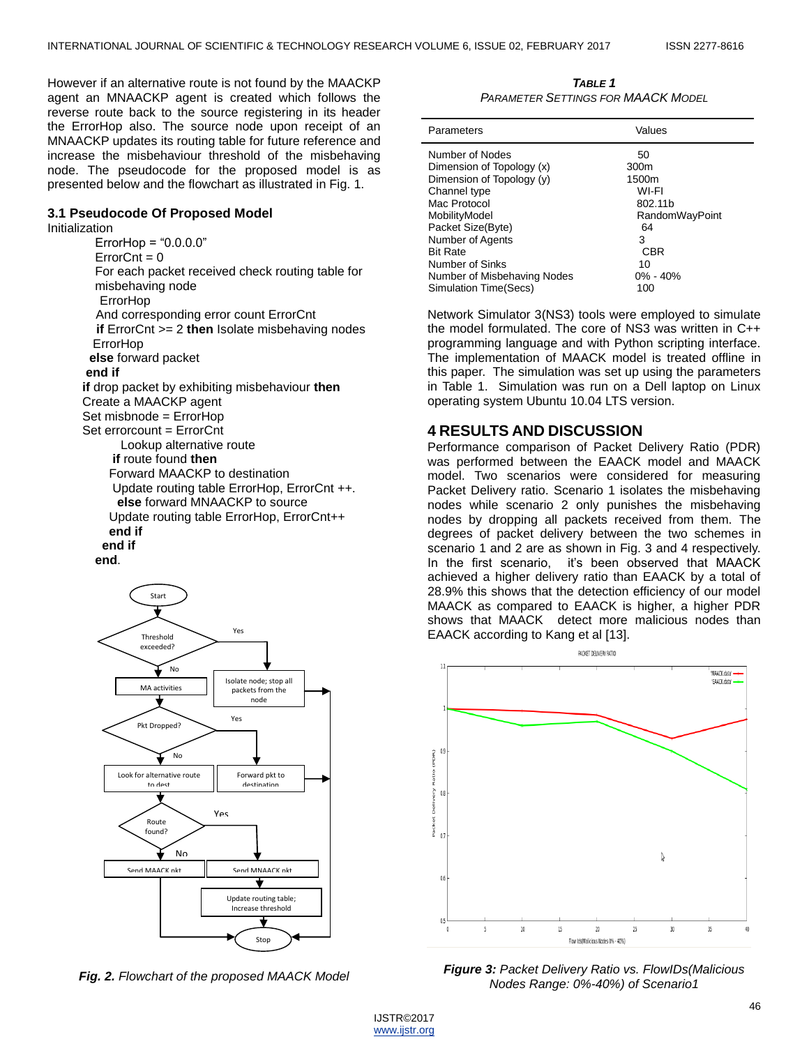However if an alternative route is not found by the MAACKP agent an MNAACKP agent is created which follows the reverse route back to the source registering in its header the ErrorHop also. The source node upon receipt of an MNAACKP updates its routing table for future reference and increase the misbehaviour threshold of the misbehaving node. The pseudocode for the proposed model is as presented below and the flowchart as illustrated in Fig. 1.

#### **3.1 Pseudocode Of Proposed Model**

Initialization

 $ErrorHop = "0.0.0.0"$  $ErrorCnt = 0$ For each packet received check routing table for misbehaving node ErrorHop And corresponding error count ErrorCnt  **if** ErrorCnt >= 2 **then** Isolate misbehaving nodes ErrorHop **else** forward packet **end if if** drop packet by exhibiting misbehaviour **then** Create a MAACKP agent Set misbnode = ErrorHop Set errorcount = ErrorCnt Lookup alternative route **if** route found **then** Forward MAACKP to destination Update routing table ErrorHop, ErrorCnt ++. **else** forward MNAACKP to source Update routing table ErrorHop, ErrorCnt++ **end if end if end**.



*Fig. 2. Flowchart of the proposed MAACK Model*

*TABLE 1 PARAMETER SETTINGS FOR MAACK MODEL*

| Parameters                  | Values           |
|-----------------------------|------------------|
| Number of Nodes             | 50               |
| Dimension of Topology (x)   | 300 <sub>m</sub> |
| Dimension of Topology (y)   | 1500m            |
| Channel type                | WI-FI            |
| Mac Protocol                | 802.11b          |
| MobilityModel               | RandomWayPoint   |
| Packet Size(Byte)           | 64               |
| Number of Agents            | 3                |
| <b>Bit Rate</b>             | <b>CBR</b>       |
| Number of Sinks             | 10               |
| Number of Misbehaving Nodes | $0\% - 40\%$     |
| Simulation Time(Secs)       | 100              |

Network Simulator 3(NS3) tools were employed to simulate the model formulated. The core of NS3 was written in C++ programming language and with Python scripting interface. The implementation of MAACK model is treated offline in this paper. The simulation was set up using the parameters in Table 1. Simulation was run on a Dell laptop on Linux operating system Ubuntu 10.04 LTS version.

## **4 RESULTS AND DISCUSSION**

Performance comparison of Packet Delivery Ratio (PDR) was performed between the EAACK model and MAACK model. Two scenarios were considered for measuring Packet Delivery ratio. Scenario 1 isolates the misbehaving nodes while scenario 2 only punishes the misbehaving nodes by dropping all packets received from them. The degrees of packet delivery between the two schemes in scenario 1 and 2 are as shown in Fig. 3 and 4 respectively. In the first scenario, it's been observed that MAACK achieved a higher delivery ratio than EAACK by a total of 28.9% this shows that the detection efficiency of our model MAACK as compared to EAACK is higher, a higher PDR shows that MAACK detect more malicious nodes than EAACK according to Kang et al [13].



*Figure 3: Packet Delivery Ratio vs. FlowIDs(Malicious Nodes Range: 0%-40%) of Scenario1*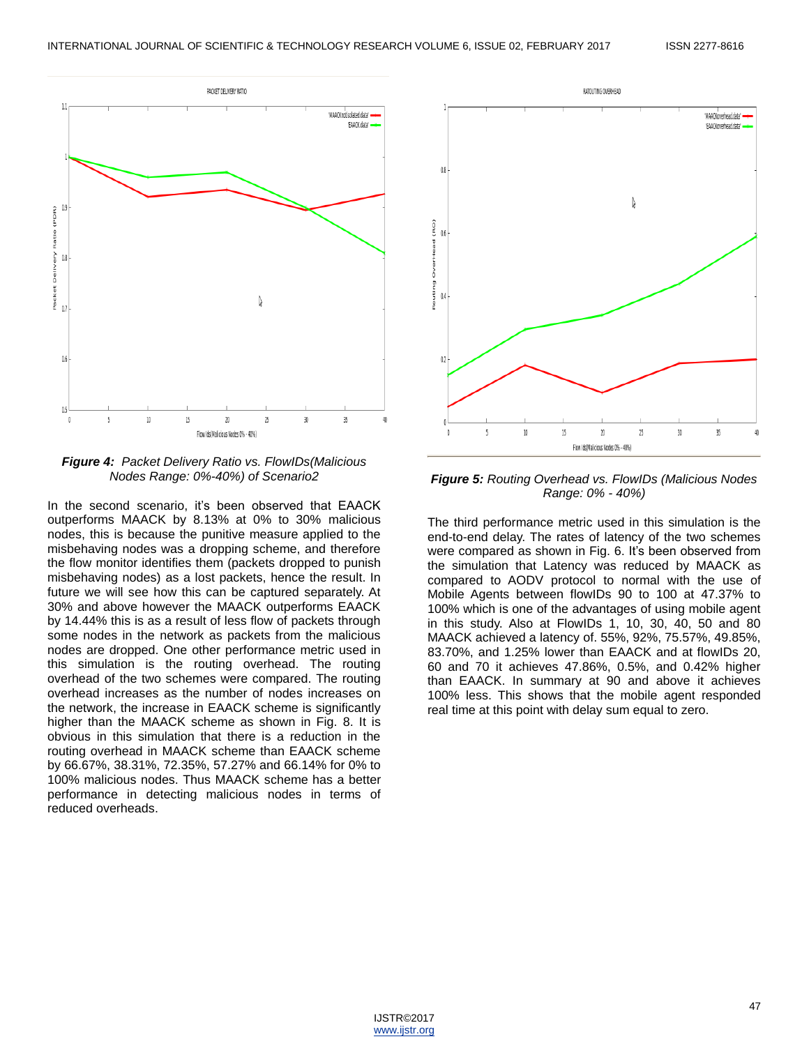



In the second scenario, it's been observed that EAACK outperforms MAACK by 8.13% at 0% to 30% malicious nodes, this is because the punitive measure applied to the misbehaving nodes was a dropping scheme, and therefore the flow monitor identifies them (packets dropped to punish misbehaving nodes) as a lost packets, hence the result. In future we will see how this can be captured separately. At 30% and above however the MAACK outperforms EAACK by 14.44% this is as a result of less flow of packets through some nodes in the network as packets from the malicious nodes are dropped. One other performance metric used in this simulation is the routing overhead. The routing overhead of the two schemes were compared. The routing overhead increases as the number of nodes increases on the network, the increase in EAACK scheme is significantly higher than the MAACK scheme as shown in Fig. 8. It is obvious in this simulation that there is a reduction in the routing overhead in MAACK scheme than EAACK scheme by 66.67%, 38.31%, 72.35%, 57.27% and 66.14% for 0% to 100% malicious nodes. Thus MAACK scheme has a better performance in detecting malicious nodes in terms of reduced overheads.



*Figure 5: Routing Overhead vs. FlowIDs (Malicious Nodes Range: 0% - 40%)*

The third performance metric used in this simulation is the end-to-end delay. The rates of latency of the two schemes were compared as shown in Fig. 6. It's been observed from the simulation that Latency was reduced by MAACK as compared to AODV protocol to normal with the use of Mobile Agents between flowIDs 90 to 100 at 47.37% to 100% which is one of the advantages of using mobile agent in this study. Also at FlowIDs 1, 10, 30, 40, 50 and 80 MAACK achieved a latency of. 55%, 92%, 75.57%, 49.85%, 83.70%, and 1.25% lower than EAACK and at flowIDs 20, 60 and 70 it achieves 47.86%, 0.5%, and 0.42% higher than EAACK. In summary at 90 and above it achieves 100% less. This shows that the mobile agent responded real time at this point with delay sum equal to zero.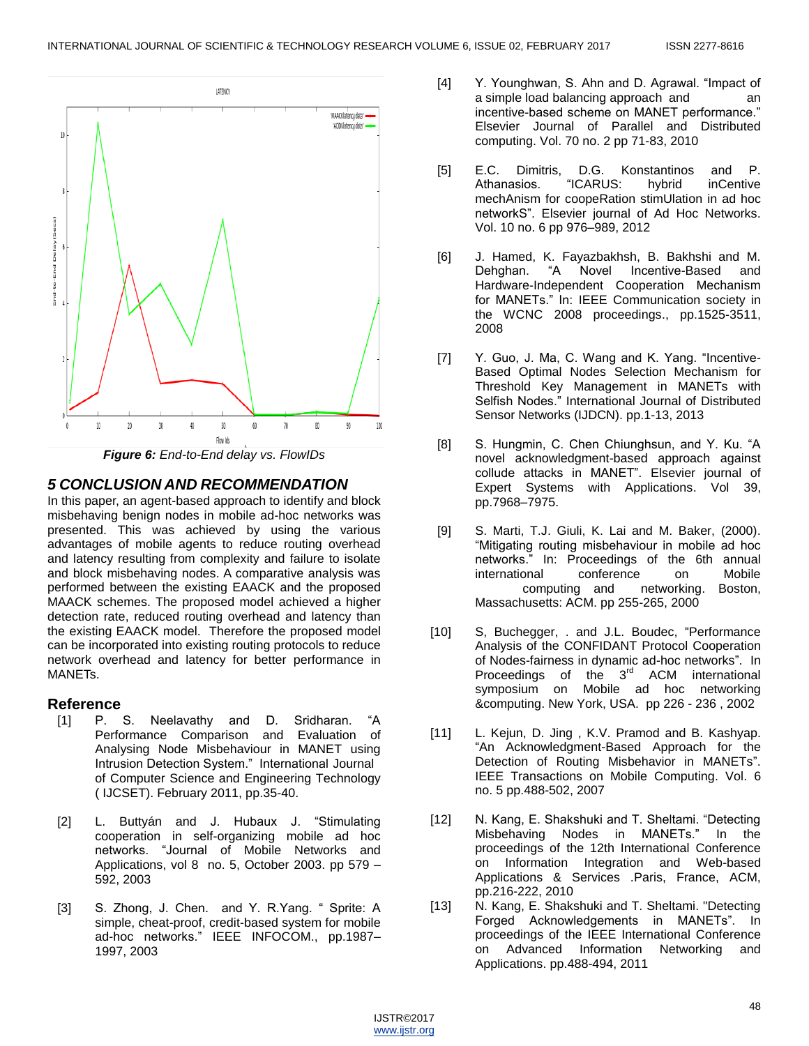

# *5 CONCLUSION AND RECOMMENDATION*

In this paper, an agent-based approach to identify and block misbehaving benign nodes in mobile ad-hoc networks was presented. This was achieved by using the various advantages of mobile agents to reduce routing overhead and latency resulting from complexity and failure to isolate and block misbehaving nodes. A comparative analysis was performed between the existing EAACK and the proposed MAACK schemes. The proposed model achieved a higher detection rate, reduced routing overhead and latency than the existing EAACK model. Therefore the proposed model can be incorporated into existing routing protocols to reduce network overhead and latency for better performance in MANETs.

## **Reference**

- [1] P. S. Neelavathy and D. Sridharan. "A Performance Comparison and Evaluation of Analysing Node Misbehaviour in MANET using Intrusion Detection System." International Journal of Computer Science and Engineering Technology ( IJCSET). February 2011, pp.35-40.
- [2] L. Buttyán and J. Hubaux J. "Stimulating cooperation in self-organizing mobile ad hoc networks. "Journal of Mobile Networks and Applications, vol 8 no. 5, October 2003. pp 579 – 592, 2003
- [3] S. Zhong, J. Chen. and Y. R.Yang. "Sprite: A simple, cheat-proof, credit-based system for mobile ad-hoc networks." IEEE INFOCOM., pp.1987-1997, 2003
- [4] Y. Younghwan, S. Ahn and D. Agrawal. "Impact of a simple load balancing approach and an incentive-based scheme on MANET performance." Elsevier Journal of Parallel and Distributed computing. Vol. 70 no. 2 pp 71-83, 2010
- [5] E.C. Dimitris, D.G. Konstantinos and P. Athanasios. 
"ICARUS: hybrid inCentive mechAnism for coopeRation stimUlation in ad hoc networkS‖. Elsevier journal of Ad Hoc Networks. Vol. 10 no. 6 pp 976–989, 2012
- [6] J. Hamed, K. Fayazbakhsh, B. Bakhshi and M. Dehghan. "A Novel Incentive-Based and Hardware-Independent Cooperation Mechanism for MANETs." In: IEEE Communication society in the WCNC 2008 proceedings., pp.1525-3511, 2008
- [7] Y. Guo, J. Ma, C. Wang and K. Yang. "Incentive-Based Optimal Nodes Selection Mechanism for Threshold Key Management in MANETs with Selfish Nodes." International Journal of Distributed Sensor Networks (IJDCN). pp.1-13, 2013
- [8] S. Hungmin, C. Chen Chiunghsun, and Y. Ku. "A novel acknowledgment-based approach against collude attacks in MANET". Elsevier journal of Expert Systems with Applications. Vol 39, pp.7968–7975.
- [9] S. Marti, T.J. Giuli, K. Lai and M. Baker, (2000). "Mitigating routing misbehaviour in mobile ad hoc networks.‖ In: Proceedings of the 6th annual international conference on Mobile computing and networking. Boston, Massachusetts: ACM. pp 255-265, 2000
- [10] S, Buchegger, . and J.L. Boudec, "Performance Analysis of the CONFIDANT Protocol Cooperation of Nodes-fairness in dynamic ad-hoc networks". In Proceedings of the 3<sup>rd</sup> ACM international symposium on Mobile ad hoc networking &computing. New York, USA. pp 226 - 236 , 2002
- [11] L. Kejun, D. Jing, K.V. Pramod and B. Kashyap. "An Acknowledgment-Based Approach for the Detection of Routing Misbehavior in MANETs". IEEE Transactions on Mobile Computing. Vol. 6 no. 5 pp.488-502, 2007
- [12] N. Kang, E. Shakshuki and T. Sheltami. "Detecting Misbehaving Nodes in MANETs." In the proceedings of the 12th International Conference on Information Integration and Web-based Applications & Services .Paris, France, ACM, pp.216-222, 2010
- [13] N. Kang, E. Shakshuki and T. Sheltami. "Detecting Forged Acknowledgements in MANETs". In proceedings of the IEEE International Conference on Advanced Information Networking and Applications. pp.488-494, 2011